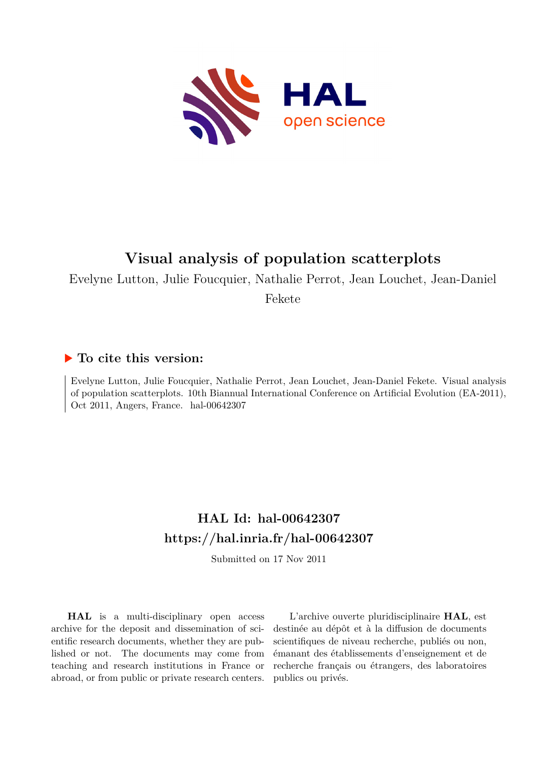

# **Visual analysis of population scatterplots**

Evelyne Lutton, Julie Foucquier, Nathalie Perrot, Jean Louchet, Jean-Daniel

Fekete

# **To cite this version:**

Evelyne Lutton, Julie Foucquier, Nathalie Perrot, Jean Louchet, Jean-Daniel Fekete. Visual analysis of population scatterplots. 10th Biannual International Conference on Artificial Evolution (EA-2011), Oct 2011, Angers, France. hal- $00642307$ 

# **HAL Id: hal-00642307 <https://hal.inria.fr/hal-00642307>**

Submitted on 17 Nov 2011

**HAL** is a multi-disciplinary open access archive for the deposit and dissemination of scientific research documents, whether they are published or not. The documents may come from teaching and research institutions in France or abroad, or from public or private research centers.

L'archive ouverte pluridisciplinaire **HAL**, est destinée au dépôt et à la diffusion de documents scientifiques de niveau recherche, publiés ou non, émanant des établissements d'enseignement et de recherche français ou étrangers, des laboratoires publics ou privés.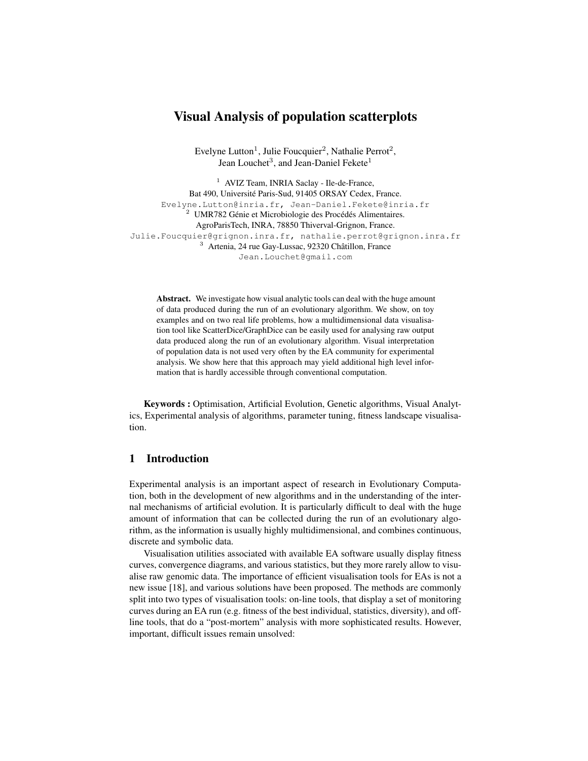# Visual Analysis of population scatterplots

Evelyne Lutton<sup>1</sup>, Julie Foucquier<sup>2</sup>, Nathalie Perrot<sup>2</sup>, Jean Louchet<sup>3</sup>, and Jean-Daniel Fekete<sup>1</sup>

<sup>1</sup> AVIZ Team, INRIA Saclay - Ile-de-France, Bat 490, Université Paris-Sud, 91405 ORSAY Cedex, France. Evelyne.Lutton@inria.fr, Jean-Daniel.Fekete@inria.fr  $2$  UMR782 Génie et Microbiologie des Procédés Alimentaires. AgroParisTech, INRA, 78850 Thiverval-Grignon, France. Julie.Foucquier@grignon.inra.fr, nathalie.perrot@grignon.inra.fr  $3$  Artenia, 24 rue Gay-Lussac, 92320 Châtillon, France Jean.Louchet@gmail.com

Abstract. We investigate how visual analytic tools can deal with the huge amount of data produced during the run of an evolutionary algorithm. We show, on toy examples and on two real life problems, how a multidimensional data visualisation tool like ScatterDice/GraphDice can be easily used for analysing raw output data produced along the run of an evolutionary algorithm. Visual interpretation of population data is not used very often by the EA community for experimental analysis. We show here that this approach may yield additional high level information that is hardly accessible through conventional computation.

Keywords : Optimisation, Artificial Evolution, Genetic algorithms, Visual Analytics, Experimental analysis of algorithms, parameter tuning, fitness landscape visualisation.

#### 1 Introduction

Experimental analysis is an important aspect of research in Evolutionary Computation, both in the development of new algorithms and in the understanding of the internal mechanisms of artificial evolution. It is particularly difficult to deal with the huge amount of information that can be collected during the run of an evolutionary algorithm, as the information is usually highly multidimensional, and combines continuous, discrete and symbolic data.

Visualisation utilities associated with available EA software usually display fitness curves, convergence diagrams, and various statistics, but they more rarely allow to visualise raw genomic data. The importance of efficient visualisation tools for EAs is not a new issue [18], and various solutions have been proposed. The methods are commonly split into two types of visualisation tools: on-line tools, that display a set of monitoring curves during an EA run (e.g. fitness of the best individual, statistics, diversity), and offline tools, that do a "post-mortem" analysis with more sophisticated results. However, important, difficult issues remain unsolved: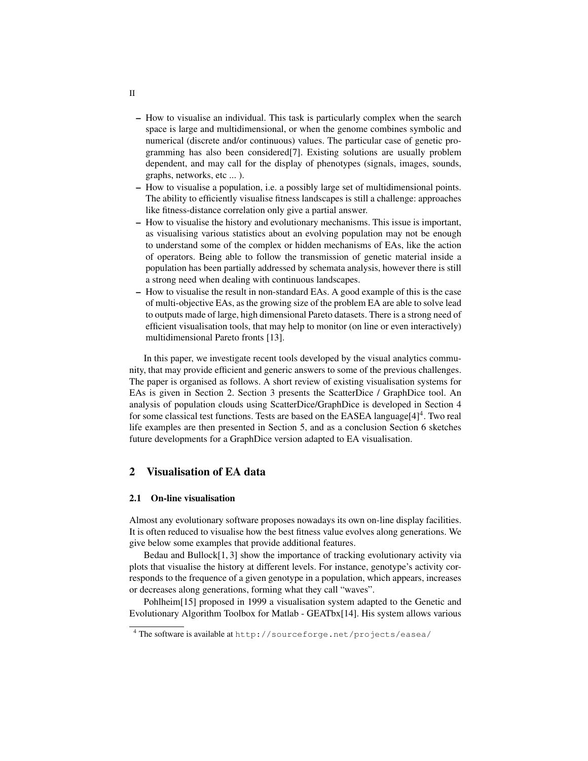- How to visualise an individual. This task is particularly complex when the search space is large and multidimensional, or when the genome combines symbolic and numerical (discrete and/or continuous) values. The particular case of genetic programming has also been considered[7]. Existing solutions are usually problem dependent, and may call for the display of phenotypes (signals, images, sounds, graphs, networks, etc ... ).
- How to visualise a population, i.e. a possibly large set of multidimensional points. The ability to efficiently visualise fitness landscapes is still a challenge: approaches like fitness-distance correlation only give a partial answer.
- How to visualise the history and evolutionary mechanisms. This issue is important, as visualising various statistics about an evolving population may not be enough to understand some of the complex or hidden mechanisms of EAs, like the action of operators. Being able to follow the transmission of genetic material inside a population has been partially addressed by schemata analysis, however there is still a strong need when dealing with continuous landscapes.
- How to visualise the result in non-standard EAs. A good example of this is the case of multi-objective EAs, as the growing size of the problem EA are able to solve lead to outputs made of large, high dimensional Pareto datasets. There is a strong need of efficient visualisation tools, that may help to monitor (on line or even interactively) multidimensional Pareto fronts [13].

In this paper, we investigate recent tools developed by the visual analytics community, that may provide efficient and generic answers to some of the previous challenges. The paper is organised as follows. A short review of existing visualisation systems for EAs is given in Section 2. Section 3 presents the ScatterDice / GraphDice tool. An analysis of population clouds using ScatterDice/GraphDice is developed in Section 4 for some classical test functions. Tests are based on the EASEA language[4]<sup>4</sup>. Two real life examples are then presented in Section 5, and as a conclusion Section 6 sketches future developments for a GraphDice version adapted to EA visualisation.

# 2 Visualisation of EA data

#### 2.1 On-line visualisation

Almost any evolutionary software proposes nowadays its own on-line display facilities. It is often reduced to visualise how the best fitness value evolves along generations. We give below some examples that provide additional features.

Bedau and Bullock[1, 3] show the importance of tracking evolutionary activity via plots that visualise the history at different levels. For instance, genotype's activity corresponds to the frequence of a given genotype in a population, which appears, increases or decreases along generations, forming what they call "waves".

Pohlheim[15] proposed in 1999 a visualisation system adapted to the Genetic and Evolutionary Algorithm Toolbox for Matlab - GEATbx[14]. His system allows various

II

<sup>4</sup> The software is available at http://sourceforge.net/projects/easea/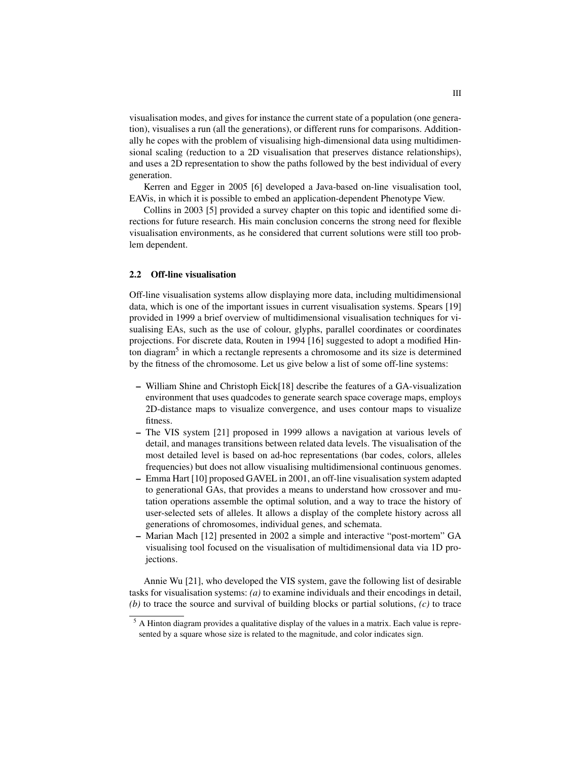visualisation modes, and gives for instance the current state of a population (one generation), visualises a run (all the generations), or different runs for comparisons. Additionally he copes with the problem of visualising high-dimensional data using multidimensional scaling (reduction to a 2D visualisation that preserves distance relationships), and uses a 2D representation to show the paths followed by the best individual of every generation.

Kerren and Egger in 2005 [6] developed a Java-based on-line visualisation tool, EAVis, in which it is possible to embed an application-dependent Phenotype View.

Collins in 2003 [5] provided a survey chapter on this topic and identified some directions for future research. His main conclusion concerns the strong need for flexible visualisation environments, as he considered that current solutions were still too problem dependent.

#### 2.2 Off-line visualisation

Off-line visualisation systems allow displaying more data, including multidimensional data, which is one of the important issues in current visualisation systems. Spears [19] provided in 1999 a brief overview of multidimensional visualisation techniques for visualising EAs, such as the use of colour, glyphs, parallel coordinates or coordinates projections. For discrete data, Routen in 1994 [16] suggested to adopt a modified Hinton diagram<sup>5</sup> in which a rectangle represents a chromosome and its size is determined by the fitness of the chromosome. Let us give below a list of some off-line systems:

- William Shine and Christoph Eick[18] describe the features of a GA-visualization environment that uses quadcodes to generate search space coverage maps, employs 2D-distance maps to visualize convergence, and uses contour maps to visualize fitness.
- The VIS system [21] proposed in 1999 allows a navigation at various levels of detail, and manages transitions between related data levels. The visualisation of the most detailed level is based on ad-hoc representations (bar codes, colors, alleles frequencies) but does not allow visualising multidimensional continuous genomes.
- Emma Hart [10] proposed GAVEL in 2001, an off-line visualisation system adapted to generational GAs, that provides a means to understand how crossover and mutation operations assemble the optimal solution, and a way to trace the history of user-selected sets of alleles. It allows a display of the complete history across all generations of chromosomes, individual genes, and schemata.
- Marian Mach [12] presented in 2002 a simple and interactive "post-mortem" GA visualising tool focused on the visualisation of multidimensional data via 1D projections.

Annie Wu [21], who developed the VIS system, gave the following list of desirable tasks for visualisation systems: *(a)* to examine individuals and their encodings in detail, *(b)* to trace the source and survival of building blocks or partial solutions, *(c)* to trace

<sup>&</sup>lt;sup>5</sup> A Hinton diagram provides a qualitative display of the values in a matrix. Each value is represented by a square whose size is related to the magnitude, and color indicates sign.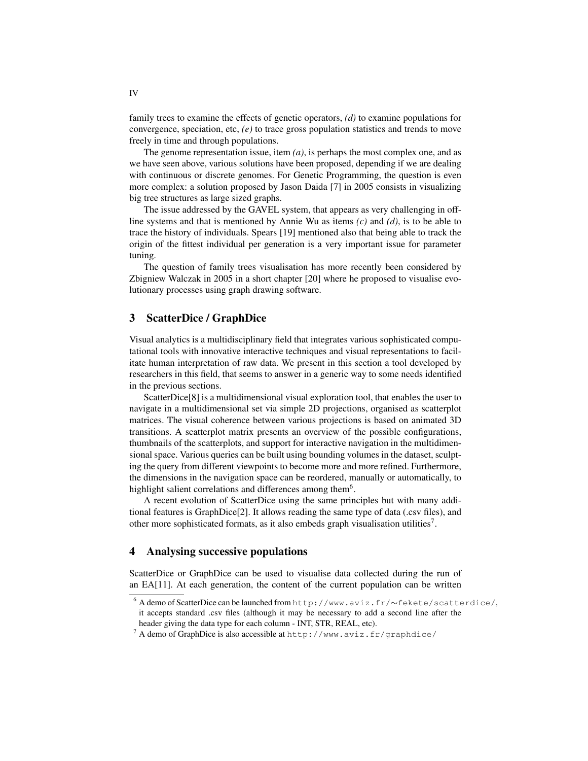family trees to examine the effects of genetic operators, *(d)* to examine populations for convergence, speciation, etc, *(e)* to trace gross population statistics and trends to move freely in time and through populations.

The genome representation issue, item *(a)*, is perhaps the most complex one, and as we have seen above, various solutions have been proposed, depending if we are dealing with continuous or discrete genomes. For Genetic Programming, the question is even more complex: a solution proposed by Jason Daida [7] in 2005 consists in visualizing big tree structures as large sized graphs.

The issue addressed by the GAVEL system, that appears as very challenging in offline systems and that is mentioned by Annie Wu as items *(c)* and *(d)*, is to be able to trace the history of individuals. Spears [19] mentioned also that being able to track the origin of the fittest individual per generation is a very important issue for parameter tuning.

The question of family trees visualisation has more recently been considered by Zbigniew Walczak in 2005 in a short chapter [20] where he proposed to visualise evolutionary processes using graph drawing software.

#### 3 ScatterDice / GraphDice

Visual analytics is a multidisciplinary field that integrates various sophisticated computational tools with innovative interactive techniques and visual representations to facilitate human interpretation of raw data. We present in this section a tool developed by researchers in this field, that seems to answer in a generic way to some needs identified in the previous sections.

ScatterDice[8] is a multidimensional visual exploration tool, that enables the user to navigate in a multidimensional set via simple 2D projections, organised as scatterplot matrices. The visual coherence between various projections is based on animated 3D transitions. A scatterplot matrix presents an overview of the possible configurations, thumbnails of the scatterplots, and support for interactive navigation in the multidimensional space. Various queries can be built using bounding volumes in the dataset, sculpting the query from different viewpoints to become more and more refined. Furthermore, the dimensions in the navigation space can be reordered, manually or automatically, to highlight salient correlations and differences among them<sup>6</sup>.

A recent evolution of ScatterDice using the same principles but with many additional features is GraphDice[2]. It allows reading the same type of data (.csv files), and other more sophisticated formats, as it also embeds graph visualisation utilities<sup>7</sup>.

# 4 Analysing successive populations

ScatterDice or GraphDice can be used to visualise data collected during the run of an EA[11]. At each generation, the content of the current population can be written

<sup>6</sup> A demo of ScatterDice can be launched from http://www.aviz.fr/∼fekete/scatterdice/, it accepts standard .csv files (although it may be necessary to add a second line after the

header giving the data type for each column - INT, STR, REAL, etc).

 $7$  A demo of GraphDice is also accessible at http://www.aviz.fr/graphdice/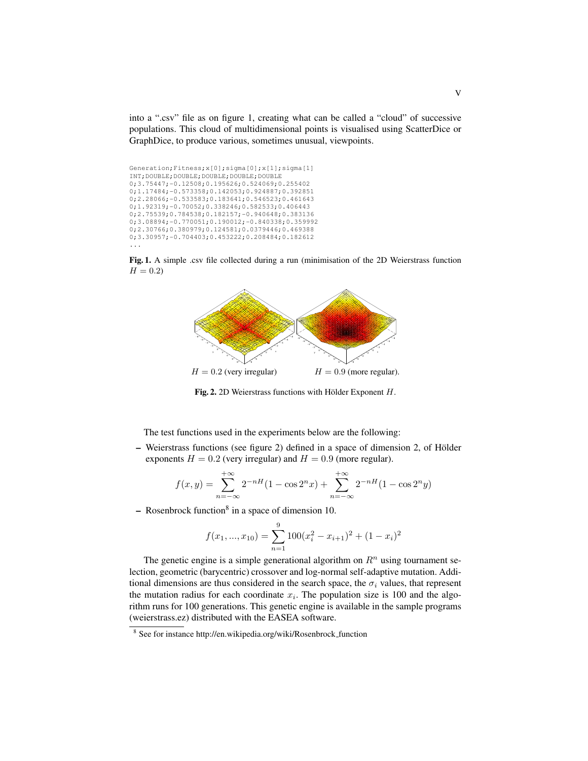into a ".csv" file as on figure 1, creating what can be called a "cloud" of successive populations. This cloud of multidimensional points is visualised using ScatterDice or GraphDice, to produce various, sometimes unusual, viewpoints.

Generation;Fitness;x[0];sigma[0];x[1];sigma[1] INT;DOUBLE;DOUBLE;DOUBLE;DOUBLE;DOUBLE 0;3.75447;-0.12508;0.195626;0.524069;0.255402 0;1.17484;-0.573358;0.142053;0.924887;0.392851 0;2.28066;-0.533583;0.183641;0.546523;0.461643 0;1.92319;-0.70052;0.338246;0.582533;0.406443 0;2.75539;0.784538;0.182157;-0.940648;0.383136 0;3.08894;-0.770051;0.190012;-0.840338;0.359992 0;2.30766;0.380979;0.124581;0.0379446;0.469388 0;3.30957;-0.704403;0.453222;0.208484;0.182612 ...

Fig. 1. A simple .csv file collected during a run (minimisation of the 2D Weierstrass function  $H = 0.2$ 



Fig. 2. 2D Weierstrass functions with Hölder Exponent  $H$ .

The test functions used in the experiments below are the following:

 $-$  Weierstrass functions (see figure 2) defined in a space of dimension 2, of Hölder exponents  $H = 0.2$  (very irregular) and  $H = 0.9$  (more regular).

$$
f(x,y) = \sum_{n=-\infty}^{+\infty} 2^{-n} (1 - \cos 2^{n} x) + \sum_{n=-\infty}^{+\infty} 2^{-n} (1 - \cos 2^{n} y)
$$

 $-$  Rosenbrock function<sup>8</sup> in a space of dimension 10.

$$
f(x_1, ..., x_{10}) = \sum_{n=1}^{9} 100(x_i^2 - x_{i+1})^2 + (1 - x_i)^2
$$

The genetic engine is a simple generational algorithm on  $R<sup>n</sup>$  using tournament selection, geometric (barycentric) crossover and log-normal self-adaptive mutation. Additional dimensions are thus considered in the search space, the  $\sigma_i$  values, that represent the mutation radius for each coordinate  $x_i$ . The population size is 100 and the algorithm runs for 100 generations. This genetic engine is available in the sample programs (weierstrass.ez) distributed with the EASEA software.

<sup>&</sup>lt;sup>8</sup> See for instance http://en.wikipedia.org/wiki/Rosenbrock\_function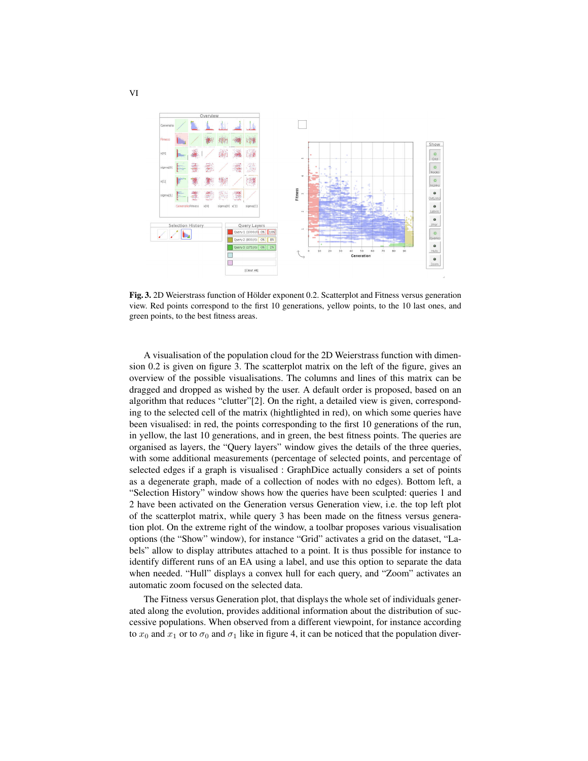

Fig. 3. 2D Weierstrass function of Hölder exponent 0.2. Scatterplot and Fitness versus generation view. Red points correspond to the first 10 generations, yellow points, to the 10 last ones, and green points, to the best fitness areas.

A visualisation of the population cloud for the 2D Weierstrass function with dimension 0.2 is given on figure 3. The scatterplot matrix on the left of the figure, gives an overview of the possible visualisations. The columns and lines of this matrix can be dragged and dropped as wished by the user. A default order is proposed, based on an algorithm that reduces "clutter"[2]. On the right, a detailed view is given, corresponding to the selected cell of the matrix (hightlighted in red), on which some queries have been visualised: in red, the points corresponding to the first 10 generations of the run, in yellow, the last 10 generations, and in green, the best fitness points. The queries are organised as layers, the "Query layers" window gives the details of the three queries, with some additional measurements (percentage of selected points, and percentage of selected edges if a graph is visualised : GraphDice actually considers a set of points as a degenerate graph, made of a collection of nodes with no edges). Bottom left, a "Selection History" window shows how the queries have been sculpted: queries 1 and 2 have been activated on the Generation versus Generation view, i.e. the top left plot of the scatterplot matrix, while query 3 has been made on the fitness versus generation plot. On the extreme right of the window, a toolbar proposes various visualisation options (the "Show" window), for instance "Grid" activates a grid on the dataset, "Labels" allow to display attributes attached to a point. It is thus possible for instance to identify different runs of an EA using a label, and use this option to separate the data when needed. "Hull" displays a convex hull for each query, and "Zoom" activates an automatic zoom focused on the selected data.

The Fitness versus Generation plot, that displays the whole set of individuals generated along the evolution, provides additional information about the distribution of successive populations. When observed from a different viewpoint, for instance according to  $x_0$  and  $x_1$  or to  $\sigma_0$  and  $\sigma_1$  like in figure 4, it can be noticed that the population diver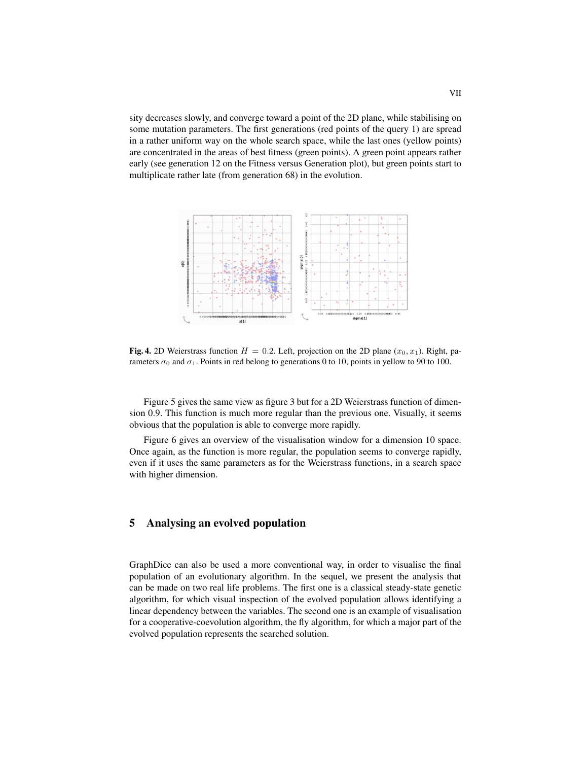sity decreases slowly, and converge toward a point of the 2D plane, while stabilising on some mutation parameters. The first generations (red points of the query 1) are spread in a rather uniform way on the whole search space, while the last ones (yellow points) are concentrated in the areas of best fitness (green points). A green point appears rather early (see generation 12 on the Fitness versus Generation plot), but green points start to multiplicate rather late (from generation 68) in the evolution.



Fig. 4. 2D Weierstrass function  $H = 0.2$ . Left, projection on the 2D plane  $(x_0, x_1)$ . Right, parameters  $\sigma_0$  and  $\sigma_1$ . Points in red belong to generations 0 to 10, points in yellow to 90 to 100.

Figure 5 gives the same view as figure 3 but for a 2D Weierstrass function of dimension 0.9. This function is much more regular than the previous one. Visually, it seems obvious that the population is able to converge more rapidly.

Figure 6 gives an overview of the visualisation window for a dimension 10 space. Once again, as the function is more regular, the population seems to converge rapidly, even if it uses the same parameters as for the Weierstrass functions, in a search space with higher dimension.

# 5 Analysing an evolved population

GraphDice can also be used a more conventional way, in order to visualise the final population of an evolutionary algorithm. In the sequel, we present the analysis that can be made on two real life problems. The first one is a classical steady-state genetic algorithm, for which visual inspection of the evolved population allows identifying a linear dependency between the variables. The second one is an example of visualisation for a cooperative-coevolution algorithm, the fly algorithm, for which a major part of the evolved population represents the searched solution.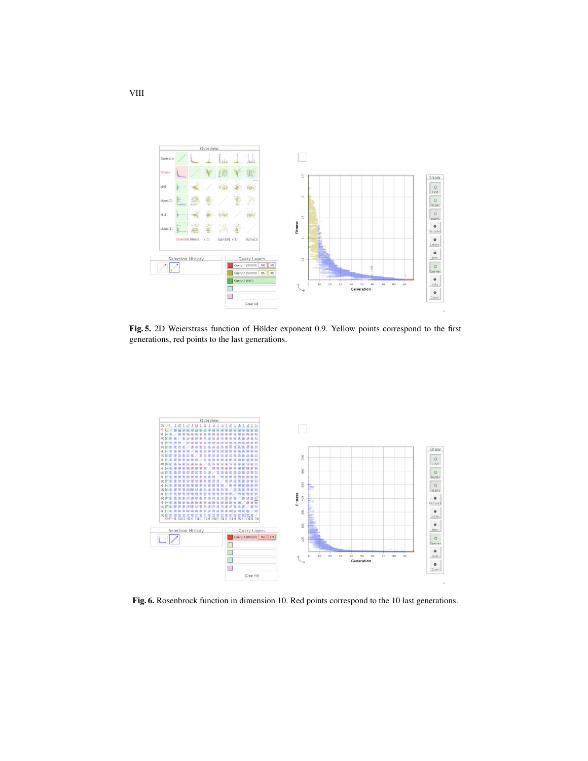

Fig. 5. 2D Weierstrass function of Hölder exponent 0.9. Yellow points correspond to the first generations, red points to the last generations.



Fig. 6. Rosenbrock function in dimension 10. Red points correspond to the 10 last generations.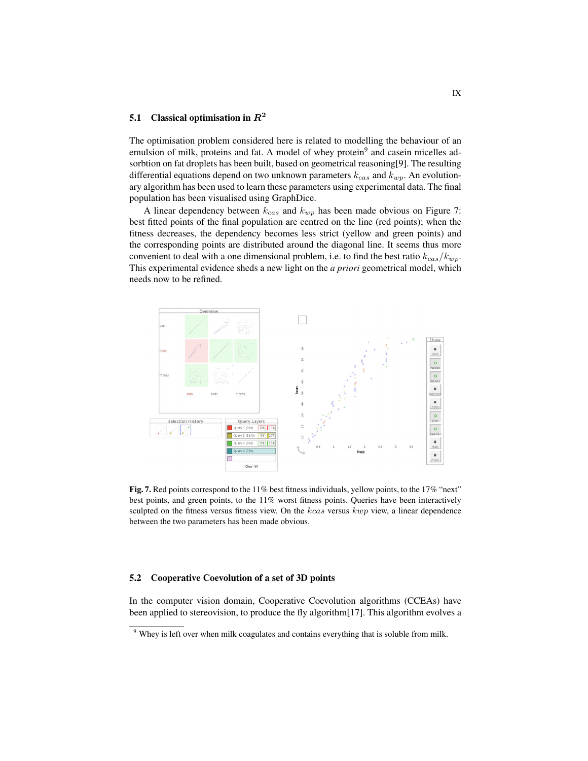#### 5.1 Classical optimisation in  $R^2$

The optimisation problem considered here is related to modelling the behaviour of an emulsion of milk, proteins and fat. A model of whey protein<sup>9</sup> and casein micelles adsorbtion on fat droplets has been built, based on geometrical reasoning[9]. The resulting differential equations depend on two unknown parameters  $k_{cas}$  and  $k_{wp}$ . An evolutionary algorithm has been used to learn these parameters using experimental data. The final population has been visualised using GraphDice.

A linear dependency between  $k_{cas}$  and  $k_{wp}$  has been made obvious on Figure 7: best fitted points of the final population are centred on the line (red points); when the fitness decreases, the dependency becomes less strict (yellow and green points) and the corresponding points are distributed around the diagonal line. It seems thus more convenient to deal with a one dimensional problem, i.e. to find the best ratio  $k_{cas}/k_{wp}$ . This experimental evidence sheds a new light on the *a priori* geometrical model, which needs now to be refined.



Fig. 7. Red points correspond to the 11% best fitness individuals, yellow points, to the 17% "next" best points, and green points, to the 11% worst fitness points. Queries have been interactively sculpted on the fitness versus fitness view. On the  $kcas$  versus  $kwp$  view, a linear dependence between the two parameters has been made obvious.

#### 5.2 Cooperative Coevolution of a set of 3D points

In the computer vision domain, Cooperative Coevolution algorithms (CCEAs) have been applied to stereovision, to produce the fly algorithm[17]. This algorithm evolves a

<sup>&</sup>lt;sup>9</sup> Whey is left over when milk coagulates and contains everything that is soluble from milk.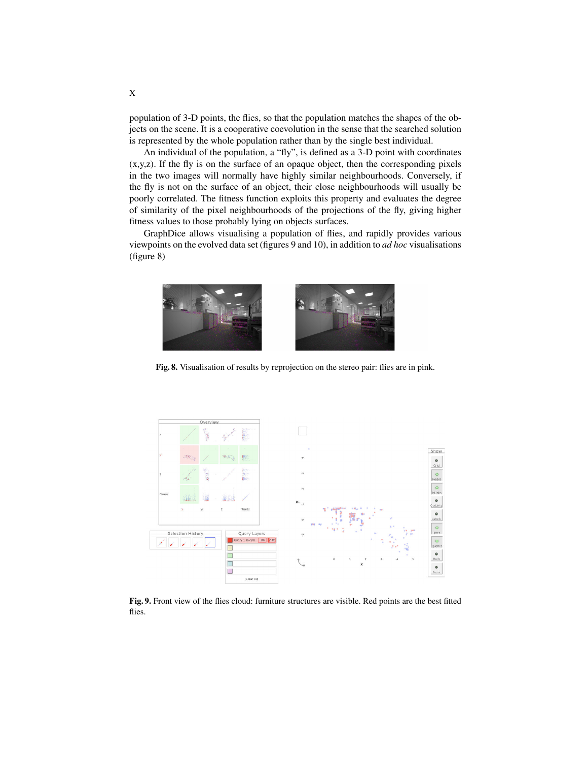population of 3-D points, the flies, so that the population matches the shapes of the objects on the scene. It is a cooperative coevolution in the sense that the searched solution is represented by the whole population rather than by the single best individual.

An individual of the population, a "fly", is defined as a 3-D point with coordinates (x,y,z). If the fly is on the surface of an opaque object, then the corresponding pixels in the two images will normally have highly similar neighbourhoods. Conversely, if the fly is not on the surface of an object, their close neighbourhoods will usually be poorly correlated. The fitness function exploits this property and evaluates the degree of similarity of the pixel neighbourhoods of the projections of the fly, giving higher fitness values to those probably lying on objects surfaces.

GraphDice allows visualising a population of flies, and rapidly provides various viewpoints on the evolved data set (figures 9 and 10), in addition to *ad hoc* visualisations (figure 8)



Fig. 8. Visualisation of results by reprojection on the stereo pair: flies are in pink.



Fig. 9. Front view of the flies cloud: furniture structures are visible. Red points are the best fitted flies.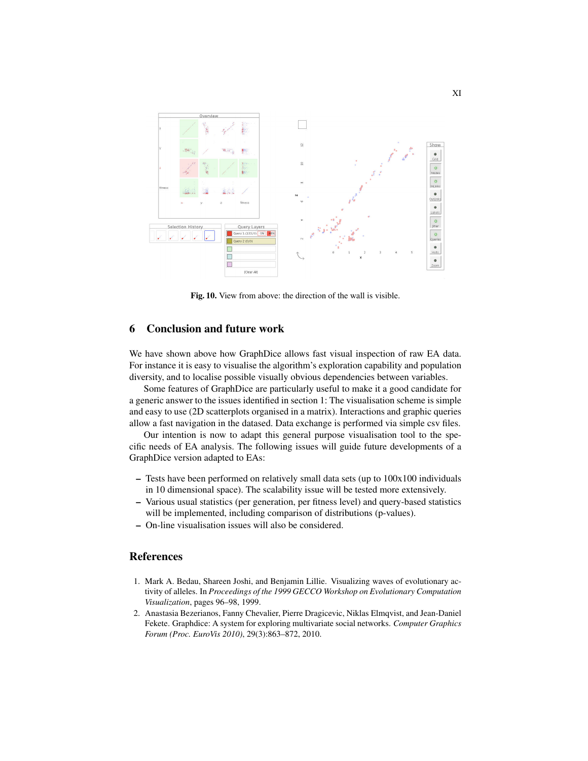

Fig. 10. View from above: the direction of the wall is visible.

### 6 Conclusion and future work

We have shown above how GraphDice allows fast visual inspection of raw EA data. For instance it is easy to visualise the algorithm's exploration capability and population diversity, and to localise possible visually obvious dependencies between variables.

Some features of GraphDice are particularly useful to make it a good candidate for a generic answer to the issues identified in section 1: The visualisation scheme is simple and easy to use (2D scatterplots organised in a matrix). Interactions and graphic queries allow a fast navigation in the datased. Data exchange is performed via simple csv files.

Our intention is now to adapt this general purpose visualisation tool to the specific needs of EA analysis. The following issues will guide future developments of a GraphDice version adapted to EAs:

- Tests have been performed on relatively small data sets (up to 100x100 individuals in 10 dimensional space). The scalability issue will be tested more extensively.
- Various usual statistics (per generation, per fitness level) and query-based statistics will be implemented, including comparison of distributions (p-values).
- On-line visualisation issues will also be considered.

### References

- 1. Mark A. Bedau, Shareen Joshi, and Benjamin Lillie. Visualizing waves of evolutionary activity of alleles. In *Proceedings of the 1999 GECCO Workshop on Evolutionary Computation Visualization*, pages 96–98, 1999.
- 2. Anastasia Bezerianos, Fanny Chevalier, Pierre Dragicevic, Niklas Elmqvist, and Jean-Daniel Fekete. Graphdice: A system for exploring multivariate social networks. *Computer Graphics Forum (Proc. EuroVis 2010)*, 29(3):863–872, 2010.